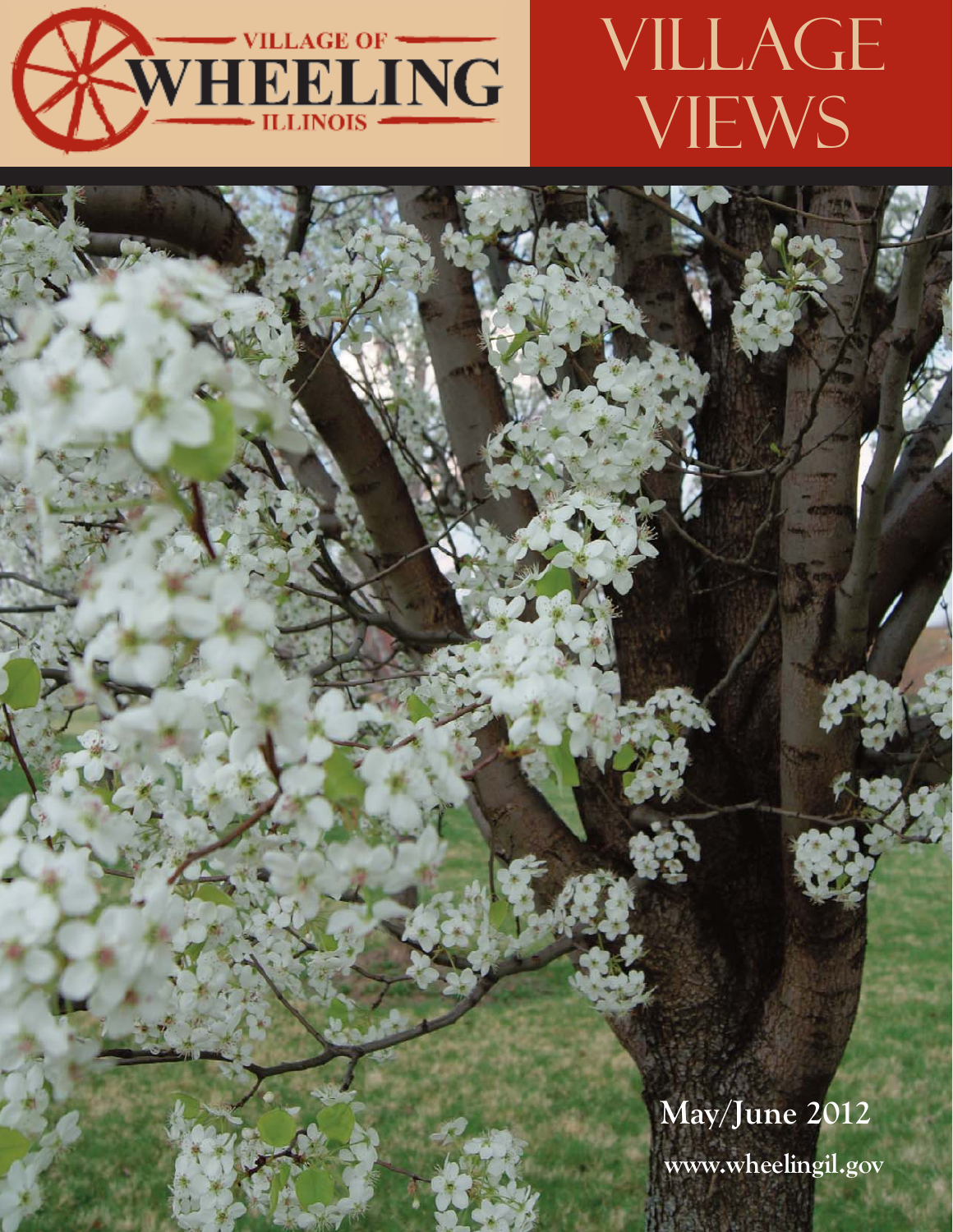

# VILLAGE VIEWS

**May/June 2012 www.wheelingil.gov**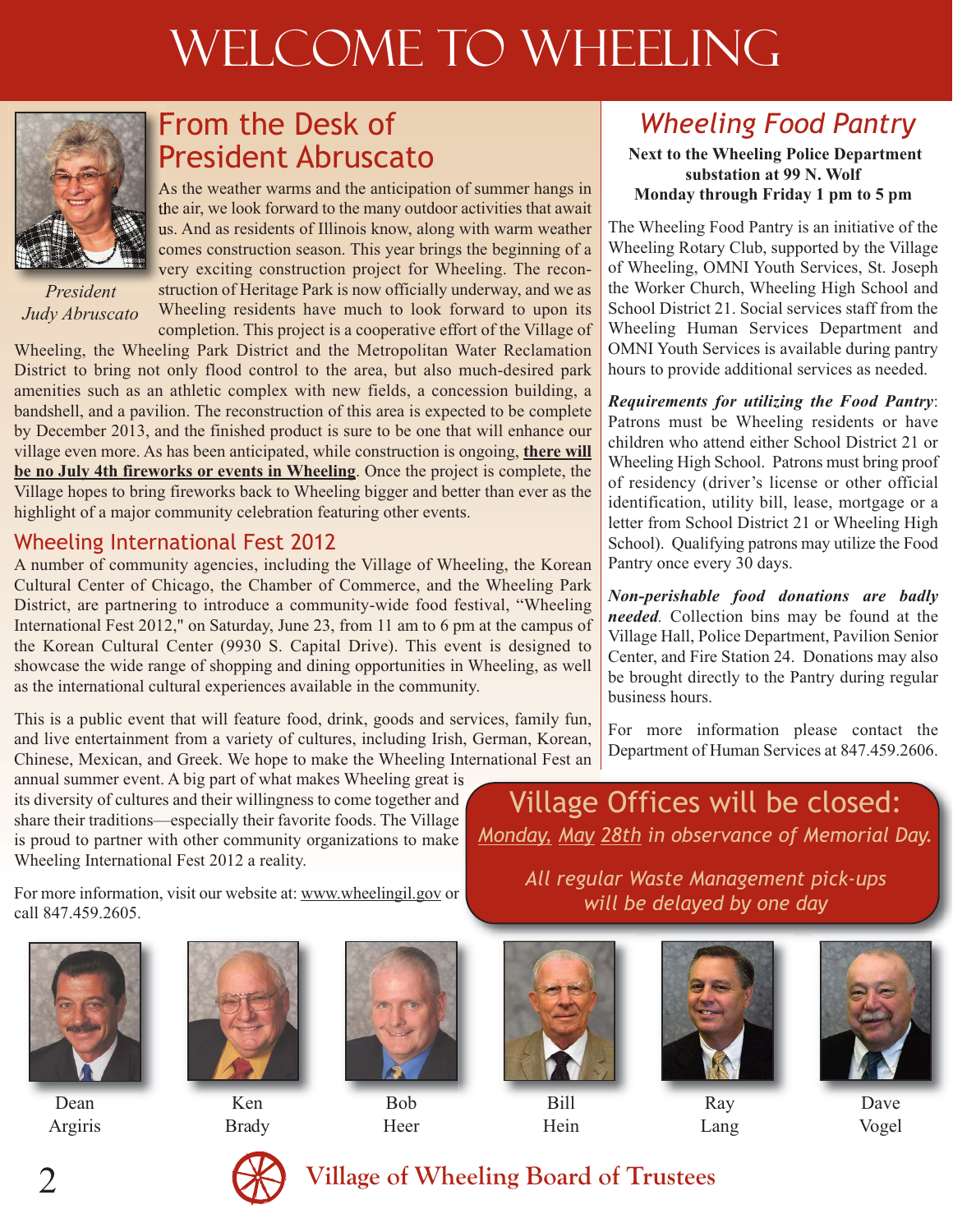# WELCOME TO WHEELING



*President Judy Abruscato*

## From the Desk of President Abruscato

As the weather warms and the anticipation of summer hangs in the air, we look forward to the many outdoor activities that await us. And as residents of Illinois know, along with warm weather comes construction season. This year brings the beginning of a very exciting construction project for Wheeling. The reconstruction of Heritage Park is now officially underway, and we as Wheeling residents have much to look forward to upon its completion. This project is a cooperative effort of the Village of

Wheeling, the Wheeling Park District and the Metropolitan Water Reclamation District to bring not only flood control to the area, but also much-desired park amenities such as an athletic complex with new fields, a concession building, a bandshell, and a pavilion. The reconstruction of this area is expected to be complete by December 2013, and the finished product is sure to be one that will enhance our village even more. As has been anticipated, while construction is ongoing, **there will be no July 4th fireworks or events in Wheeling**. Once the project is complete, the Village hopes to bring fireworks back to Wheeling bigger and better than ever as the highlight of a major community celebration featuring other events.

## Wheeling International Fest 2012

A number of community agencies, including the Village of Wheeling, the Korean Cultural Center of Chicago, the Chamber of Commerce, and the Wheeling Park District, are partnering to introduce a community-wide food festival, "Wheeling International Fest 2012," on Saturday, June 23, from 11 am to 6 pm at the campus of the Korean Cultural Center (9930 S. Capital Drive). This event is designed to showcase the wide range of shopping and dining opportunities in Wheeling, as well as the international cultural experiences available in the community.

This is a public event that will feature food, drink, goods and services, family fun, and live entertainment from a variety of cultures, including Irish, German, Korean, Chinese, Mexican, and Greek. We hope to make the Wheeling International Fest an

annual summer event. A big part of what makes Wheeling great is its diversity of cultures and their willingness to come together and share their traditions—especially their favorite foods. The Village is proud to partner with other community organizations to make Wheeling International Fest 2012 a reality.

For more information, visit our website at: www.wheelingil.gov or call 847.459.2605.



Dean Argiris



Ken Brady



Bob Heer



Bill Hein







Lang



Dave Vogel

## *Wheeling Food Pantry*

**Next to the Wheeling Police Department substation at 99 N. Wolf Monday through Friday 1 pm to 5 pm**

The Wheeling Food Pantry is an initiative of the Wheeling Rotary Club, supported by the Village of Wheeling, OMNI Youth Services, St. Joseph the Worker Church, Wheeling High School and School District 21. Social services staff from the Wheeling Human Services Department and OMNI Youth Services is available during pantry hours to provide additional services as needed.

*Requirements for utilizing the Food Pantry*: Patrons must be Wheeling residents or have children who attend either School District 21 or Wheeling High School. Patrons must bring proof of residency (driver's license or other official identification, utility bill, lease, mortgage or a letter from School District 21 or Wheeling High School). Qualifying patrons may utilize the Food Pantry once every 30 days.

*Non-perishable food donations are badly needed.* Collection bins may be found at the Village Hall, Police Department, Pavilion Senior Center, and Fire Station 24. Donations may also be brought directly to the Pantry during regular business hours.

For more information please contact the Department of Human Services at 847.459.2606.

Village Offices will be closed: *Monday, May 28th in observance of Memorial Day.*

> *All regular Waste Management pick-ups will be delayed by one day*

## 2 **Village of Wheeling Board of Trustees**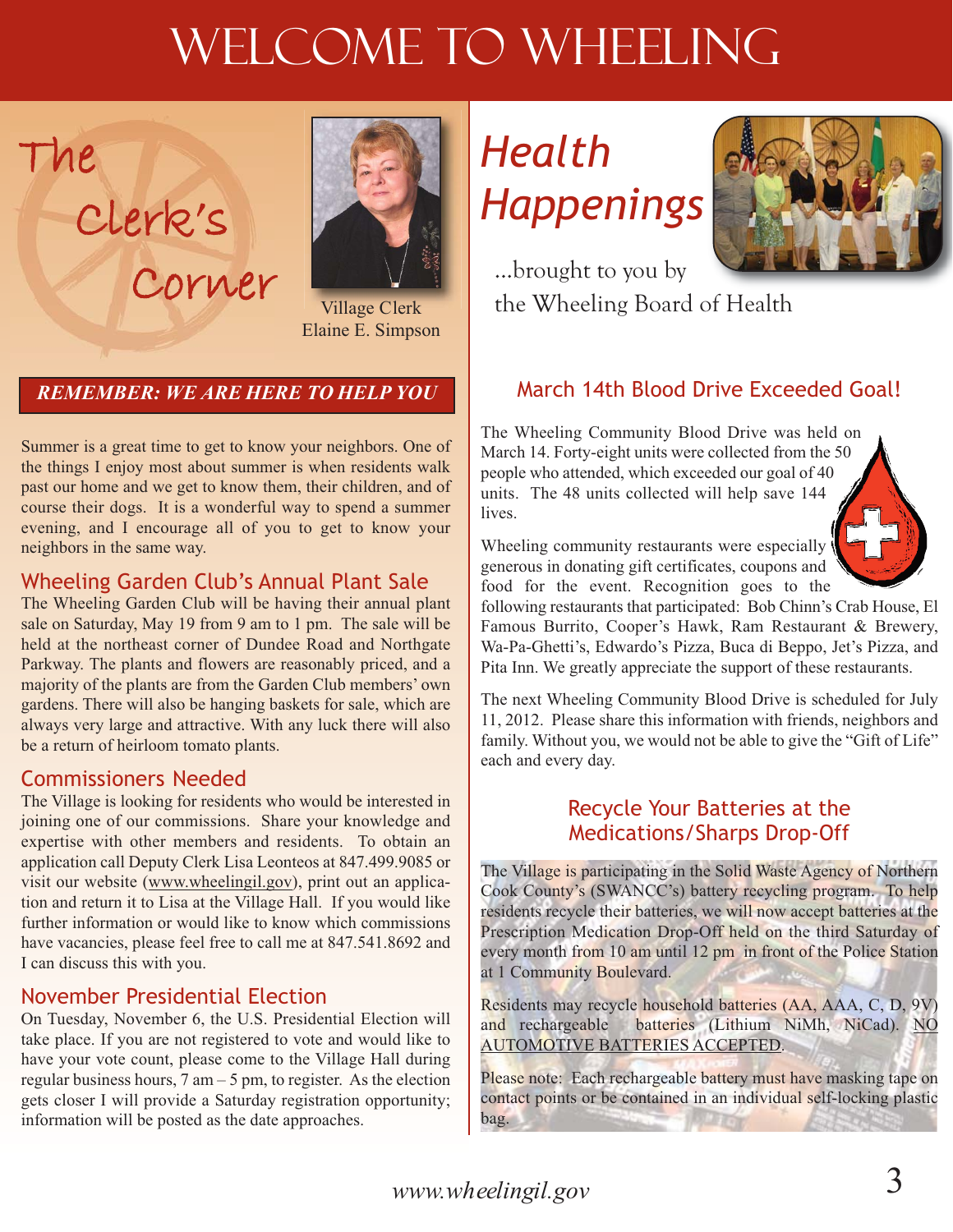# WELCOME TO WHEELING



Village Clerk Elaine E. Simpson

## *REMEMBER: WE ARE HERE TO HELP YOU*

Corner

Summer is a great time to get to know your neighbors. One of the things I enjoy most about summer is when residents walk past our home and we get to know them, their children, and of course their dogs. It is a wonderful way to spend a summer evening, and I encourage all of you to get to know your neighbors in the same way.

### Wheeling Garden Club's Annual Plant Sale

The Wheeling Garden Club will be having their annual plant sale on Saturday, May 19 from 9 am to 1 pm. The sale will be held at the northeast corner of Dundee Road and Northgate Parkway. The plants and flowers are reasonably priced, and a majority of the plants are from the Garden Club members' own gardens. There will also be hanging baskets for sale, which are always very large and attractive. With any luck there will also be a return of heirloom tomato plants.

### Commissioners Needed

The

Clerk's

The Village is looking for residents who would be interested in joining one of our commissions. Share your knowledge and expertise with other members and residents. To obtain an application call Deputy Clerk Lisa Leonteos at 847.499.9085 or visit our website (www.wheelingil.gov), print out an application and return it to Lisa at the Village Hall. If you would like further information or would like to know which commissions have vacancies, please feel free to call me at 847.541.8692 and I can discuss this with you.

### November Presidential Election

On Tuesday, November 6, the U.S. Presidential Election will take place. If you are not registered to vote and would like to have your vote count, please come to the Village Hall during regular business hours,  $7 \text{ am} - 5 \text{ pm}$ , to register. As the election gets closer I will provide a Saturday registration opportunity; information will be posted as the date approaches.

# *Health Happenings*



...brought to you by the Wheeling Board of Health

## March 14th Blood Drive Exceeded Goal!

The Wheeling Community Blood Drive was held on March 14. Forty-eight units were collected from the 50 people who attended, which exceeded our goal of 40 units. The 48 units collected will help save 144 lives.

Wheeling community restaurants were especially generous in donating gift certificates, coupons and food for the event. Recognition goes to the

following restaurants that participated: Bob Chinn's Crab House, El Famous Burrito, Cooper's Hawk, Ram Restaurant & Brewery, Wa-Pa-Ghetti's, Edwardo's Pizza, Buca di Beppo, Jet's Pizza, and Pita Inn. We greatly appreciate the support of these restaurants.

The next Wheeling Community Blood Drive is scheduled for July 11, 2012. Please share this information with friends, neighbors and family. Without you, we would not be able to give the "Gift of Life" each and every day.

### Recycle Your Batteries at the Medications/Sharps Drop-Off

The Village is participating in the Solid Waste Agency of Northern Cook County's (SWANCC's) battery recycling program. To help residents recycle their batteries, we will now accept batteries at the Prescription Medication Drop-Off held on the third Saturday of every month from 10 am until 12 pm in front of the Police Station at 1 Community Boulevard.

Residents may recycle household batteries (AA, AAA, C, D, 9V) and rechargeable batteries (Lithium NiMh, NiCad). NO AUTOMOTIVE BATTERIES ACCEPTED.

Please note: Each rechargeable battery must have masking tape on contact points or be contained in an individual self-locking plastic bag.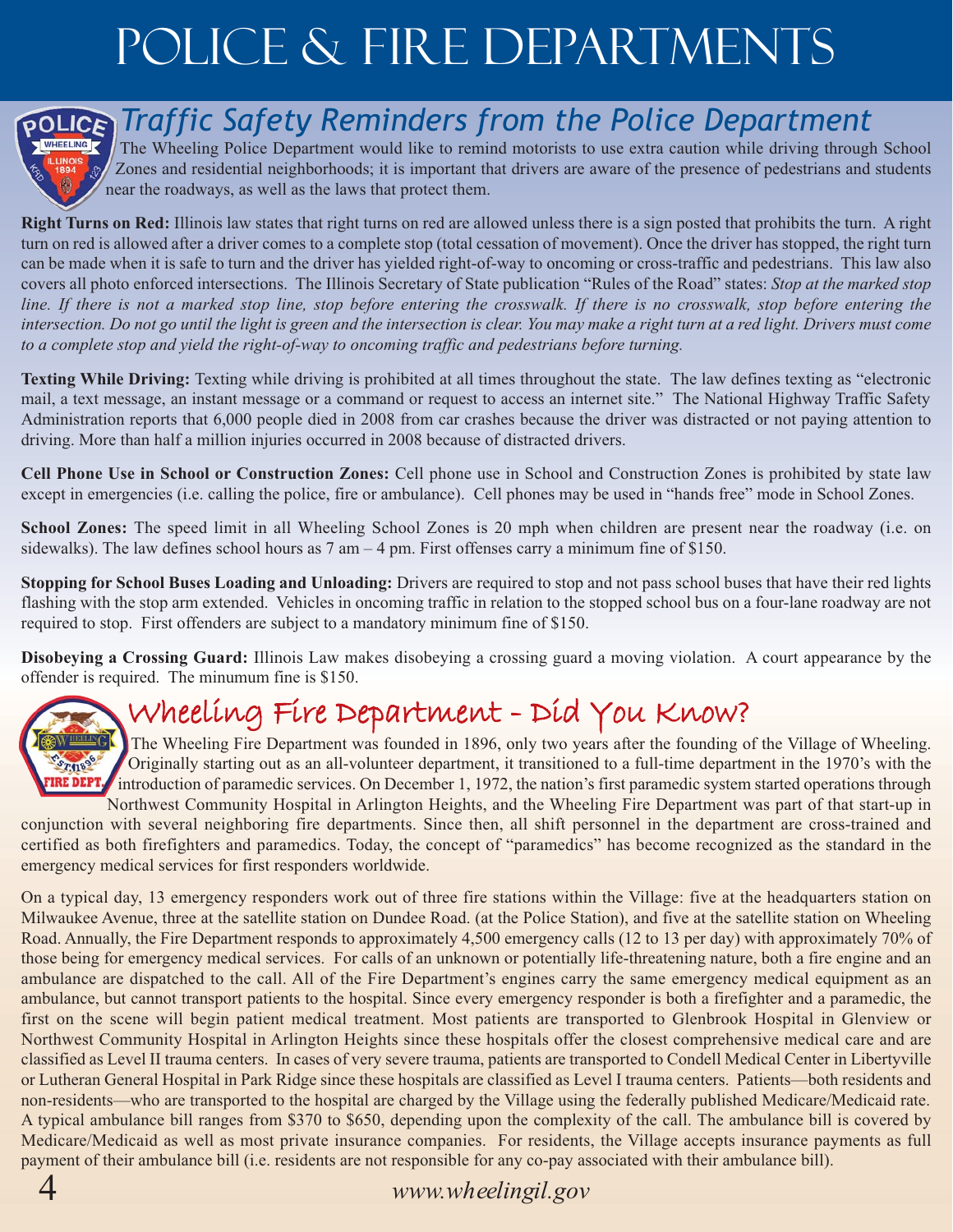# Police & Fire Departments



## *Traffic Safety Reminders from the Police Department*

The Wheeling Police Department would like to remind motorists to use extra caution while driving through School Zones and residential neighborhoods; it is important that drivers are aware of the presence of pedestrians and students near the roadways, as well as the laws that protect them.

**Right Turns on Red:** Illinois law states that right turns on red are allowed unless there is a sign posted that prohibits the turn. A right turn on red is allowed after a driver comes to a complete stop (total cessation of movement). Once the driver has stopped, the right turn can be made when it is safe to turn and the driver has yielded right-of-way to oncoming or cross-traffic and pedestrians. This law also covers all photo enforced intersections. The Illinois Secretary of State publication "Rules of the Road" states: *Stop at the marked stop line. If there is not a marked stop line, stop before entering the crosswalk. If there is no crosswalk, stop before entering the intersection. Do not go until the light is green and the intersection is clear. You may make a right turn at a red light. Drivers must come to a complete stop and yield the right-of-way to oncoming traffic and pedestrians before turning.*

**Texting While Driving:** Texting while driving is prohibited at all times throughout the state. The law defines texting as "electronic mail, a text message, an instant message or a command or request to access an internet site." The National Highway Traffic Safety Administration reports that 6,000 people died in 2008 from car crashes because the driver was distracted or not paying attention to driving. More than half a million injuries occurred in 2008 because of distracted drivers.

**Cell Phone Use in School or Construction Zones:** Cell phone use in School and Construction Zones is prohibited by state law except in emergencies (i.e. calling the police, fire or ambulance). Cell phones may be used in "hands free" mode in School Zones.

**School Zones:** The speed limit in all Wheeling School Zones is 20 mph when children are present near the roadway (i.e. on sidewalks). The law defines school hours as  $7 \text{ am} - 4 \text{ pm}$ . First offenses carry a minimum fine of \$150.

**Stopping for School Buses Loading and Unloading:** Drivers are required to stop and not pass school buses that have their red lights flashing with the stop arm extended. Vehicles in oncoming traffic in relation to the stopped school bus on a four-lane roadway are not required to stop. First offenders are subject to a mandatory minimum fine of \$150.

**Disobeying a Crossing Guard:** Illinois Law makes disobeying a crossing guard a moving violation. A court appearance by the offender is required. The minumum fine is \$150.

## Wheeling Fire Department - Did You Know?



The Wheeling Fire Department was founded in 1896, only two years after the founding of the Village of Wheeling. Originally starting out as an all-volunteer department, it transitioned to a full-time department in the 1970's with the introduction of paramedic services. On December 1, 1972, the nation's first paramedic system started operations through Northwest Community Hospital in Arlington Heights, and the Wheeling Fire Department was part of that start-up in

conjunction with several neighboring fire departments. Since then, all shift personnel in the department are cross-trained and certified as both firefighters and paramedics. Today, the concept of "paramedics" has become recognized as the standard in the emergency medical services for first responders worldwide.

On a typical day, 13 emergency responders work out of three fire stations within the Village: five at the headquarters station on Milwaukee Avenue, three at the satellite station on Dundee Road. (at the Police Station), and five at the satellite station on Wheeling Road. Annually, the Fire Department responds to approximately 4,500 emergency calls (12 to 13 per day) with approximately 70% of those being for emergency medical services. For calls of an unknown or potentially life-threatening nature, both a fire engine and an ambulance are dispatched to the call. All of the Fire Department's engines carry the same emergency medical equipment as an ambulance, but cannot transport patients to the hospital. Since every emergency responder is both a firefighter and a paramedic, the first on the scene will begin patient medical treatment. Most patients are transported to Glenbrook Hospital in Glenview or Northwest Community Hospital in Arlington Heights since these hospitals offer the closest comprehensive medical care and are classified as Level II trauma centers. In cases of very severe trauma, patients are transported to Condell Medical Center in Libertyville or Lutheran General Hospital in Park Ridge since these hospitals are classified as Level I trauma centers. Patients—both residents and non-residents—who are transported to the hospital are charged by the Village using the federally published Medicare/Medicaid rate. A typical ambulance bill ranges from \$370 to \$650, depending upon the complexity of the call. The ambulance bill is covered by Medicare/Medicaid as well as most private insurance companies. For residents, the Village accepts insurance payments as full payment of their ambulance bill (i.e. residents are not responsible for any co-pay associated with their ambulance bill).

4 *www.wheelingil.gov*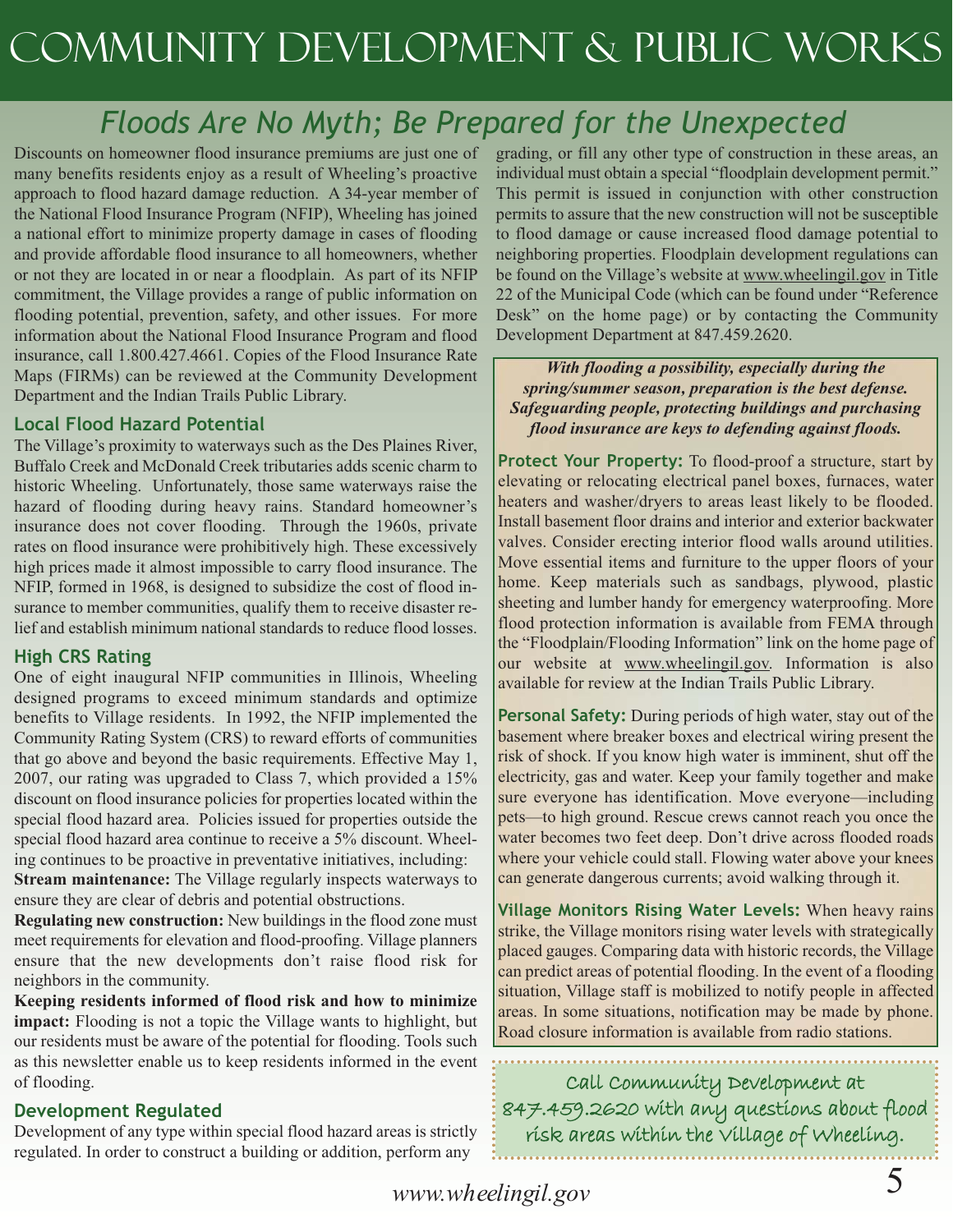# Community Development & Public Works

## *Floods Are No Myth; Be Prepared for the Unexpected*

Discounts on homeowner flood insurance premiums are just one of many benefits residents enjoy as a result of Wheeling's proactive approach to flood hazard damage reduction. A 34-year member of the National Flood Insurance Program (NFIP), Wheeling has joined a national effort to minimize property damage in cases of flooding and provide affordable flood insurance to all homeowners, whether or not they are located in or near a floodplain. As part of its NFIP commitment, the Village provides a range of public information on flooding potential, prevention, safety, and other issues. For more information about the National Flood Insurance Program and flood insurance, call 1.800.427.4661. Copies of the Flood Insurance Rate Maps (FIRMs) can be reviewed at the Community Development Department and the Indian Trails Public Library.

#### **Local Flood Hazard Potential**

The Village's proximity to waterways such as the Des Plaines River, Buffalo Creek and McDonald Creek tributaries adds scenic charm to historic Wheeling. Unfortunately, those same waterways raise the hazard of flooding during heavy rains. Standard homeowner's insurance does not cover flooding. Through the 1960s, private rates on flood insurance were prohibitively high. These excessively high prices made it almost impossible to carry flood insurance. The NFIP, formed in 1968, is designed to subsidize the cost of flood insurance to member communities, qualify them to receive disaster relief and establish minimum national standards to reduce flood losses.

#### **High CRS Rating**

One of eight inaugural NFIP communities in Illinois, Wheeling designed programs to exceed minimum standards and optimize benefits to Village residents. In 1992, the NFIP implemented the Community Rating System (CRS) to reward efforts of communities that go above and beyond the basic requirements. Effective May 1, 2007, our rating was upgraded to Class 7, which provided a 15% discount on flood insurance policies for properties located within the special flood hazard area. Policies issued for properties outside the special flood hazard area continue to receive a 5% discount. Wheeling continues to be proactive in preventative initiatives, including: **Stream maintenance:** The Village regularly inspects waterways to

ensure they are clear of debris and potential obstructions. **Regulating new construction:** New buildings in the flood zone must meet requirements for elevation and flood-proofing. Village planners ensure that the new developments don't raise flood risk for neighbors in the community.

**Keeping residents informed of flood risk and how to minimize impact:** Flooding is not a topic the Village wants to highlight, but our residents must be aware of the potential for flooding. Tools such as this newsletter enable us to keep residents informed in the event of flooding.

#### **Development Regulated**

Development of any type within special flood hazard areas is strictly regulated. In order to construct a building or addition, perform any

grading, or fill any other type of construction in these areas, an individual must obtain a special "floodplain development permit." This permit is issued in conjunction with other construction permits to assure that the new construction will not be susceptible to flood damage or cause increased flood damage potential to neighboring properties. Floodplain development regulations can be found on the Village's website at www.wheelingil.gov in Title 22 of the Municipal Code (which can be found under "Reference Desk" on the home page) or by contacting the Community Development Department at 847.459.2620.

*With flooding a possibility, especially during the spring/summer season, preparation is the best defense. Safeguarding people, protecting buildings and purchasing flood insurance are keys to defending against floods.*

**Protect Your Property:** To flood-proof a structure, start by elevating or relocating electrical panel boxes, furnaces, water heaters and washer/dryers to areas least likely to be flooded. Install basement floor drains and interior and exterior backwater valves. Consider erecting interior flood walls around utilities. Move essential items and furniture to the upper floors of your home. Keep materials such as sandbags, plywood, plastic sheeting and lumber handy for emergency waterproofing. More flood protection information is available from FEMA through the "Floodplain/Flooding Information" link on the home page of our website at www.wheelingil.gov. Information is also available for review at the Indian Trails Public Library.

**Personal Safety:** During periods of high water, stay out of the basement where breaker boxes and electrical wiring present the risk of shock. If you know high water is imminent, shut off the electricity, gas and water. Keep your family together and make sure everyone has identification. Move everyone—including pets—to high ground. Rescue crews cannot reach you once the water becomes two feet deep. Don't drive across flooded roads where your vehicle could stall. Flowing water above your knees can generate dangerous currents; avoid walking through it.

**Village Monitors Rising Water Levels:** When heavy rains strike, the Village monitors rising water levels with strategically placed gauges. Comparing data with historic records, the Village can predict areas of potential flooding. In the event of a flooding situation, Village staff is mobilized to notify people in affected areas. In some situations, notification may be made by phone. Road closure information is available from radio stations.

Call Community Development at 847.459.2620 with any questions about flood risk areas within the Village of Wheeling.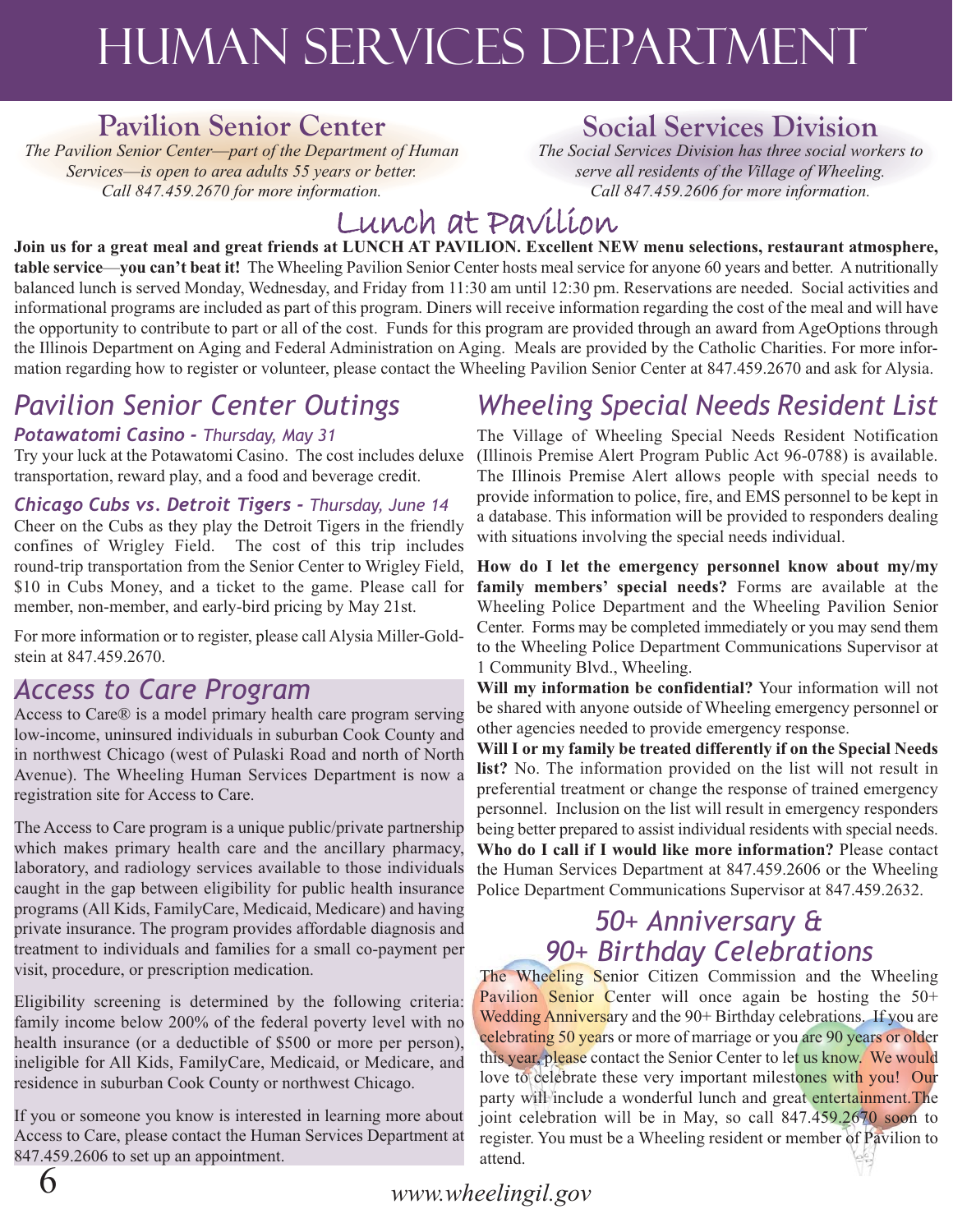# Human Services department

## **Pavilion Senior Center**

*The Pavilion Senior Center*—*part of the Department of Human Services*—*is open to area adults 55 years or better. Call 847.459.2670 for more information.*

## **Social Services Division**

*The Social Services Division has three social workers to serve all residents of the Village of Wheeling. Call 847.459.2606 for more information.*

## Lunch at Pavilion

**Join us for a great meal and great friends at LUNCH AT PAVILION. Excellent NEW menu selections, restaurant atmosphere, table service**—**you can't beat it!** The Wheeling Pavilion Senior Center hosts meal service for anyone 60 years and better. A nutritionally balanced lunch is served Monday, Wednesday, and Friday from 11:30 am until 12:30 pm. Reservations are needed. Social activities and informational programs are included as part of this program. Diners will receive information regarding the cost of the meal and will have the opportunity to contribute to part or all of the cost. Funds for this program are provided through an award from AgeOptions through the Illinois Department on Aging and Federal Administration on Aging. Meals are provided by the Catholic Charities. For more information regarding how to register or volunteer, please contact the Wheeling Pavilion Senior Center at 847.459.2670 and ask for Alysia.

## *Pavilion Senior Center Outings*

### *Potawatomi Casino - Thursday, May 31*

Try your luck at the Potawatomi Casino. The cost includes deluxe transportation, reward play, and a food and beverage credit.

*Chicago Cubs vs. Detroit Tigers - Thursday, June 14* Cheer on the Cubs as they play the Detroit Tigers in the friendly confines of Wrigley Field. The cost of this trip includes round-trip transportation from the Senior Center to Wrigley Field, \$10 in Cubs Money, and a ticket to the game. Please call for member, non-member, and early-bird pricing by May 21st.

For more information or to register, please call Alysia Miller-Goldstein at 847.459.2670.

## *Access to Care Program*

Access to Care® is a model primary health care program serving low-income, uninsured individuals in suburban Cook County and in northwest Chicago (west of Pulaski Road and north of North Avenue). The Wheeling Human Services Department is now a registration site for Access to Care.

The Access to Care program is a unique public/private partnership which makes primary health care and the ancillary pharmacy, laboratory, and radiology services available to those individuals caught in the gap between eligibility for public health insurance programs (All Kids, FamilyCare, Medicaid, Medicare) and having private insurance. The program provides affordable diagnosis and treatment to individuals and families for a small co-payment per visit, procedure, or prescription medication.

Eligibility screening is determined by the following criteria: family income below 200% of the federal poverty level with no health insurance (or a deductible of \$500 or more per person), ineligible for All Kids, FamilyCare, Medicaid, or Medicare, and residence in suburban Cook County or northwest Chicago.

If you or someone you know is interested in learning more about Access to Care, please contact the Human Services Department at 847.459.2606 to set up an appointment.

## *Wheeling Special Needs Resident List*

The Village of Wheeling Special Needs Resident Notification (Illinois Premise Alert Program Public Act 96-0788) is available. The Illinois Premise Alert allows people with special needs to provide information to police, fire, and EMS personnel to be kept in a database. This information will be provided to responders dealing with situations involving the special needs individual.

**How do I let the emergency personnel know about my/my family members' special needs?** Forms are available at the Wheeling Police Department and the Wheeling Pavilion Senior Center. Forms may be completed immediately or you may send them to the Wheeling Police Department Communications Supervisor at 1 Community Blvd., Wheeling.

**Will my information be confidential?** Your information will not be shared with anyone outside of Wheeling emergency personnel or other agencies needed to provide emergency response.

**Will I or my family be treated differently if on the Special Needs list?** No. The information provided on the list will not result in preferential treatment or change the response of trained emergency personnel. Inclusion on the list will result in emergency responders being better prepared to assist individual residents with special needs. **Who do I call if I would like more information?** Please contact the Human Services Department at 847.459.2606 or the Wheeling Police Department Communications Supervisor at 847.459.2632.

## *50+ Anniversary & 90+ Birthday Celebrations*

The Wheeling Senior Citizen Commission and the Wheeling Pavilion Senior Center will once again be hosting the 50+ Wedding Anniversary and the 90+ Birthday celebrations. If you are celebrating 50 years or more of marriage or you are 90 years or older this year, please contact the Senior Center to let us know. We would love to celebrate these very important milestones with you! Our party will include a wonderful lunch and great entertainment.The joint celebration will be in May, so call 847.459.2670 soon to register. You must be a Wheeling resident or member of Pavilion to attend.

6 *www.wheelingil.gov*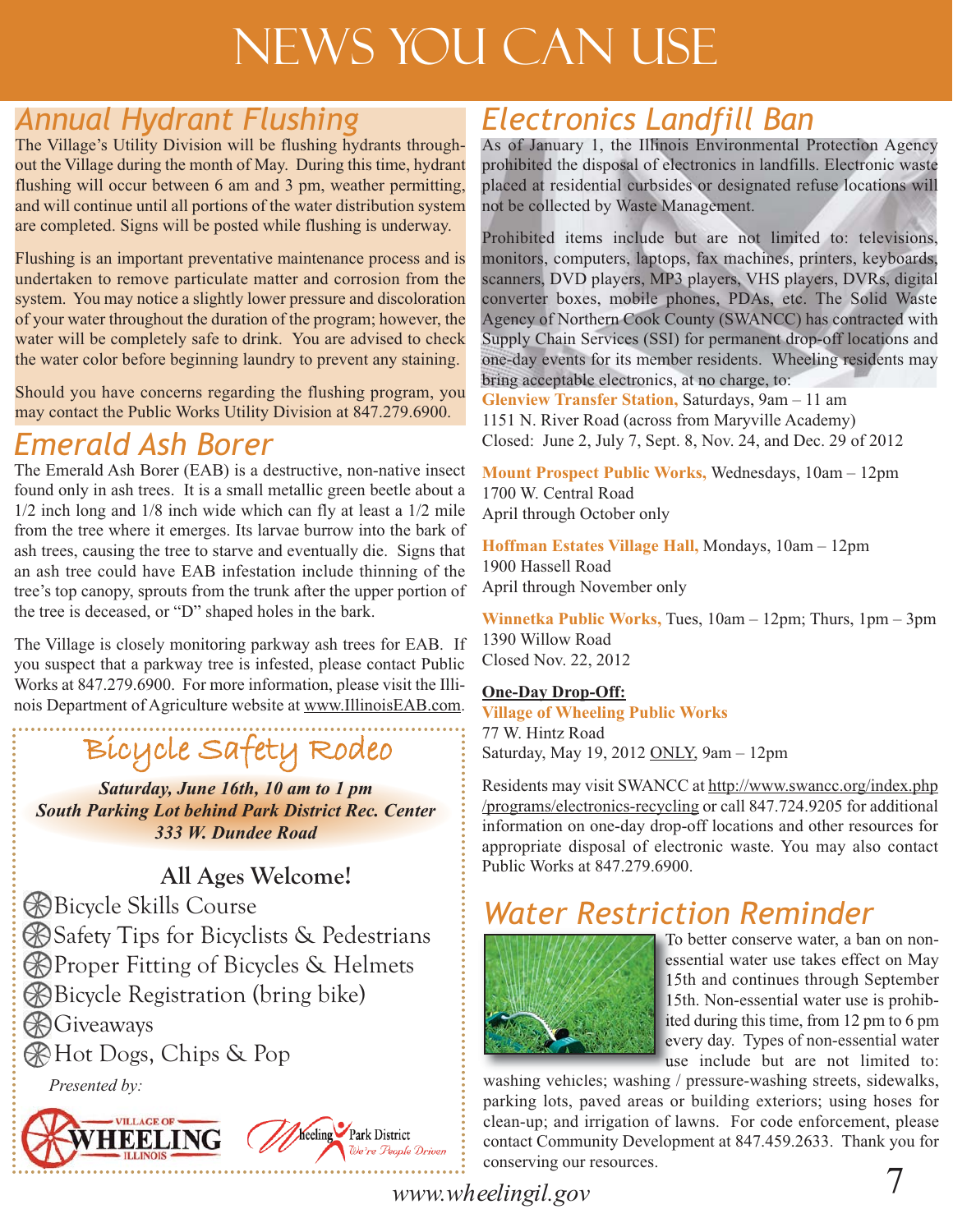# News You Can Use

## *Annual Hydrant Flushing*

The Village's Utility Division will be flushing hydrants throughout the Village during the month of May. During this time, hydrant flushing will occur between 6 am and 3 pm, weather permitting, and will continue until all portions of the water distribution system are completed. Signs will be posted while flushing is underway.

Flushing is an important preventative maintenance process and is undertaken to remove particulate matter and corrosion from the system. You may notice a slightly lower pressure and discoloration of your water throughout the duration of the program; however, the water will be completely safe to drink. You are advised to check the water color before beginning laundry to prevent any staining.

Should you have concerns regarding the flushing program, you may contact the Public Works Utility Division at 847.279.6900.

## *Emerald Ash Borer*

The Emerald Ash Borer (EAB) is a destructive, non-native insect found only in ash trees. It is a small metallic green beetle about a 1/2 inch long and 1/8 inch wide which can fly at least a 1/2 mile from the tree where it emerges. Its larvae burrow into the bark of ash trees, causing the tree to starve and eventually die. Signs that an ash tree could have EAB infestation include thinning of the tree's top canopy, sprouts from the trunk after the upper portion of the tree is deceased, or "D" shaped holes in the bark.

The Village is closely monitoring parkway ash trees for EAB. If you suspect that a parkway tree is infested, please contact Public Works at 847.279.6900. For more information, please visit the Illinois Department of Agriculture website at www.IllinoisEAB.com.

# Bicycle Safety Rodeo

*Saturday, June 16th, 10 am to 1 pm South Parking Lot behind Park District Rec. Center 333 W. Dundee Road*

## **All Ages Welcome!**

Bicycle Skills Course **B** Safety Tips for Bicyclists & Pedestrians **Proper Fitting of Bicycles & Helmets** Bicycle Registration (bring bike) **B** Giveaways Hot Dogs, Chips & Pop

*Presented by:*



## *Electronics Landfill Ban*

As of January 1, the Illinois Environmental Protection Agency prohibited the disposal of electronics in landfills. Electronic waste placed at residential curbsides or designated refuse locations will not be collected by Waste Management.

Prohibited items include but are not limited to: televisions, monitors, computers, laptops, fax machines, printers, keyboards, scanners, DVD players, MP3 players, VHS players, DVRs, digital converter boxes, mobile phones, PDAs, etc. The Solid Waste Agency of Northern Cook County (SWANCC) has contracted with Supply Chain Services (SSI) for permanent drop-off locations and one-day events for its member residents. Wheeling residents may bring acceptable electronics, at no charge, to:

**Glenview Transfer Station,** Saturdays, 9am – 11 am 1151 N. River Road (across from Maryville Academy) Closed: June 2, July 7, Sept. 8, Nov. 24, and Dec. 29 of 2012

**Mount Prospect Public Works,** Wednesdays, 10am – 12pm 1700 W. Central Road April through October only

**Hoffman Estates Village Hall,** Mondays, 10am – 12pm 1900 Hassell Road April through November only

**Winnetka Public Works,** Tues, 10am – 12pm; Thurs, 1pm – 3pm 1390 Willow Road Closed Nov. 22, 2012

### **One-Day Drop-Off:**

**Village of Wheeling Public Works** 77 W. Hintz Road Saturday, May 19, 2012 ONLY, 9am – 12pm

Residents may visit SWANCC at http://www.swancc.org/index.php /programs/electronics-recycling or call 847.724.9205 for additional information on one-day drop-off locations and other resources for appropriate disposal of electronic waste. You may also contact Public Works at 847.279.6900.

## *Water Restriction Reminder*



To better conserve water, a ban on nonessential water use takes effect on May 15th and continues through September 15th. Non-essential water use is prohibited during this time, from 12 pm to 6 pm every day. Types of non-essential water use include but are not limited to:

washing vehicles; washing / pressure-washing streets, sidewalks, parking lots, paved areas or building exteriors; using hoses for clean-up; and irrigation of lawns. For code enforcement, please contact Community Development at 847.459.2633. Thank you for conserving our resources.